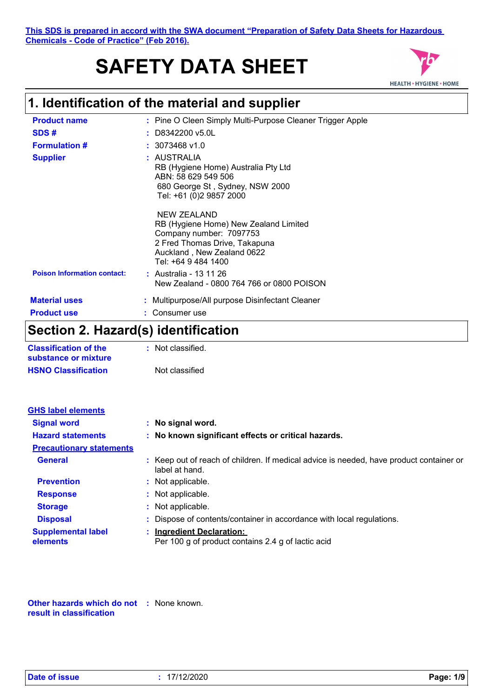# **SAFETY DATA SHEET**



# **1. Identification of the material and supplier**

| <b>Product name</b>                        | : Pine O Cleen Simply Multi-Purpose Cleaner Trigger Apple                                                                                                             |
|--------------------------------------------|-----------------------------------------------------------------------------------------------------------------------------------------------------------------------|
| SDS#                                       | $\pm$ D8342200 v5.0L                                                                                                                                                  |
| <b>Formulation #</b>                       | $: 3073468$ v1.0                                                                                                                                                      |
| <b>Supplier</b>                            | : AUSTRALIA<br>RB (Hygiene Home) Australia Pty Ltd<br>ABN: 58 629 549 506<br>680 George St, Sydney, NSW 2000<br>Tel: +61 (0)2 9857 2000                               |
|                                            | NEW ZEALAND<br>RB (Hygiene Home) New Zealand Limited<br>Company number: 7097753<br>2 Fred Thomas Drive, Takapuna<br>Auckland, New Zealand 0622<br>Tel: +64 9 484 1400 |
| <b>Poison Information contact:</b>         | : Australia - 13 11 26<br>New Zealand - 0800 764 766 or 0800 POISON                                                                                                   |
| <b>Material uses</b><br><b>Product use</b> | : Multipurpose/All purpose Disinfectant Cleaner<br>Consumer use                                                                                                       |

# **Section 2. Hazard(s) identification**

| <b>Classification of the</b> | : Not classified. |
|------------------------------|-------------------|
| substance or mixture         |                   |
| <b>HSNO Classification</b>   | Not classified    |

| <b>GHS label elements</b>             |                                                                                                           |
|---------------------------------------|-----------------------------------------------------------------------------------------------------------|
| <b>Signal word</b>                    | : No signal word.                                                                                         |
| <b>Hazard statements</b>              | : No known significant effects or critical hazards.                                                       |
| <b>Precautionary statements</b>       |                                                                                                           |
| <b>General</b>                        | : Keep out of reach of children. If medical advice is needed, have product container or<br>label at hand. |
| <b>Prevention</b>                     | : Not applicable.                                                                                         |
| <b>Response</b>                       | : Not applicable.                                                                                         |
| <b>Storage</b>                        | : Not applicable.                                                                                         |
| <b>Disposal</b>                       | : Dispose of contents/container in accordance with local regulations.                                     |
| <b>Supplemental label</b><br>elements | : Ingredient Declaration:<br>Per 100 g of product contains 2.4 g of lactic acid                           |

**Other hazards which do not :** None known. **result in classification**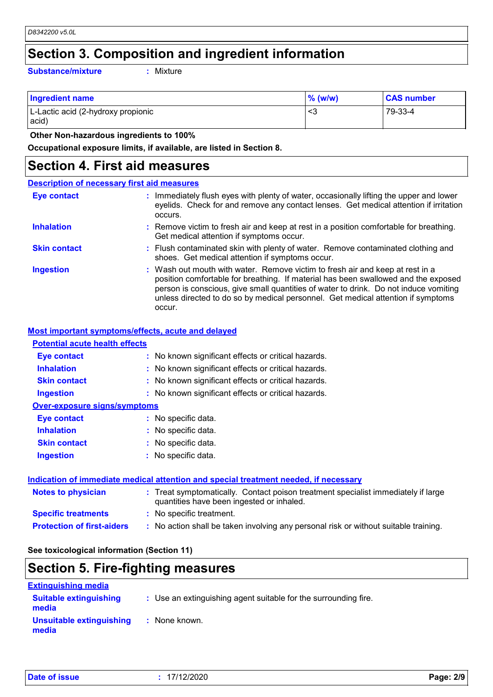# **Section 3. Composition and ingredient information**

**Substance/mixture :**

Mixture

| <b>Ingredient name</b>                      | $\%$ (w/w) | <b>CAS number</b> |
|---------------------------------------------|------------|-------------------|
| L-Lactic acid (2-hydroxy propionic<br>acid) | د>         | 79-33-4           |

 **Other Non-hazardous ingredients to 100%**

**Occupational exposure limits, if available, are listed in Section 8.**

## **Section 4. First aid measures**

#### Wash out mouth with water. Remove victim to fresh air and keep at rest in a position comfortable for breathing. If material has been swallowed and the exposed person is conscious, give small quantities of water to drink. Do not induce vomiting unless directed to do so by medical personnel. Get medical attention if symptoms occur. **:** Immediately flush eyes with plenty of water, occasionally lifting the upper and lower eyelids. Check for and remove any contact lenses. Get medical attention if irritation occurs. Flush contaminated skin with plenty of water. Remove contaminated clothing and **:** shoes. Get medical attention if symptoms occur. Remove victim to fresh air and keep at rest in a position comfortable for breathing. **:** Get medical attention if symptoms occur. **Eye contact Skin contact Inhalation Ingestion : Description of necessary first aid measures**

## **Most important symptoms/effects, acute and delayed**

| <b>Potential acute health effects</b> |                                                     |  |  |  |
|---------------------------------------|-----------------------------------------------------|--|--|--|
| <b>Eye contact</b>                    | : No known significant effects or critical hazards. |  |  |  |
| <b>Inhalation</b>                     | : No known significant effects or critical hazards. |  |  |  |
| <b>Skin contact</b>                   | : No known significant effects or critical hazards. |  |  |  |
| <b>Ingestion</b>                      | : No known significant effects or critical hazards. |  |  |  |
| <b>Over-exposure signs/symptoms</b>   |                                                     |  |  |  |
| <b>Eve contact</b>                    | : No specific data.                                 |  |  |  |
| <b>Inhalation</b>                     | : No specific data.                                 |  |  |  |
| <b>Skin contact</b>                   | : No specific data.                                 |  |  |  |
| <b>Ingestion</b>                      | : No specific data.                                 |  |  |  |
|                                       |                                                     |  |  |  |
|                                       |                                                     |  |  |  |

## **Protection of first-aiders :** No action shall be taken involving any personal risk or without suitable training. **Notes to physician <b>:** Treat symptomatically. Contact poison treatment specialist immediately if large quantities have been ingested or inhaled. **Specific treatments :** No specific treatment. **Indication of immediate medical attention and special treatment needed, if necessary**

**See toxicological information (Section 11)**

# **Section 5. Fire-fighting measures**

| <b>Extinguishing media</b>             |                                                                 |
|----------------------------------------|-----------------------------------------------------------------|
| <b>Suitable extinguishing</b><br>media | : Use an extinguishing agent suitable for the surrounding fire. |
| Unsuitable extinguishing<br>media      | : None known.                                                   |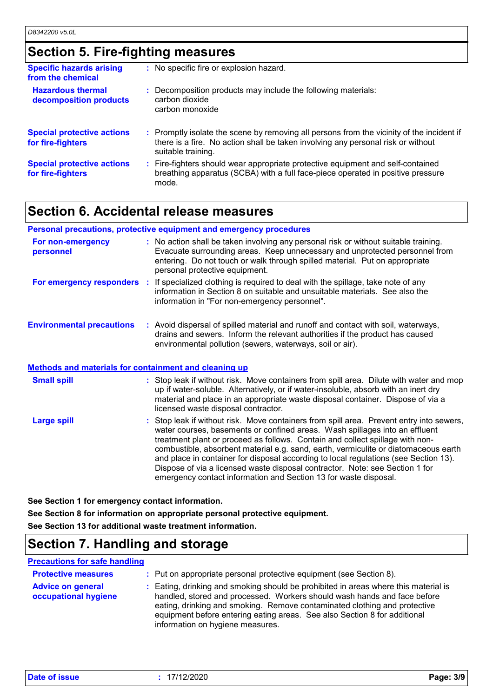# **Section 5. Fire-fighting measures**

| <b>Specific hazards arising</b><br>from the chemical   | : No specific fire or explosion hazard.                                                                                                                                                             |
|--------------------------------------------------------|-----------------------------------------------------------------------------------------------------------------------------------------------------------------------------------------------------|
| <b>Hazardous thermal</b><br>decomposition products     | : Decomposition products may include the following materials:<br>carbon dioxide<br>carbon monoxide                                                                                                  |
| <b>Special protective actions</b><br>for fire-fighters | : Promptly isolate the scene by removing all persons from the vicinity of the incident if<br>there is a fire. No action shall be taken involving any personal risk or without<br>suitable training. |
| <b>Special protective actions</b><br>for fire-fighters | : Fire-fighters should wear appropriate protective equipment and self-contained<br>breathing apparatus (SCBA) with a full face-piece operated in positive pressure<br>mode.                         |

# **Section 6. Accidental release measures**

## **Personal precautions, protective equipment and emergency procedures**

| For non-emergency<br>personnel   |    | : No action shall be taken involving any personal risk or without suitable training.<br>Evacuate surrounding areas. Keep unnecessary and unprotected personnel from<br>entering. Do not touch or walk through spilled material. Put on appropriate<br>personal protective equipment. |
|----------------------------------|----|--------------------------------------------------------------------------------------------------------------------------------------------------------------------------------------------------------------------------------------------------------------------------------------|
| For emergency responders         | ÷. | If specialized clothing is required to deal with the spillage, take note of any<br>information in Section 8 on suitable and unsuitable materials. See also the<br>information in "For non-emergency personnel".                                                                      |
| <b>Environmental precautions</b> |    | : Avoid dispersal of spilled material and runoff and contact with soil, waterways,<br>drains and sewers. Inform the relevant authorities if the product has caused<br>environmental pollution (sewers, waterways, soil or air).                                                      |

## **Methods and materials for containment and cleaning up**

| <b>Small spill</b> | : Stop leak if without risk. Move containers from spill area. Dilute with water and mop<br>up if water-soluble. Alternatively, or if water-insoluble, absorb with an inert dry<br>material and place in an appropriate waste disposal container. Dispose of via a<br>licensed waste disposal contractor.                                                                                                                                                                                                                                                                                    |
|--------------------|---------------------------------------------------------------------------------------------------------------------------------------------------------------------------------------------------------------------------------------------------------------------------------------------------------------------------------------------------------------------------------------------------------------------------------------------------------------------------------------------------------------------------------------------------------------------------------------------|
| <b>Large spill</b> | : Stop leak if without risk. Move containers from spill area. Prevent entry into sewers,<br>water courses, basements or confined areas. Wash spillages into an effluent<br>treatment plant or proceed as follows. Contain and collect spillage with non-<br>combustible, absorbent material e.g. sand, earth, vermiculite or diatomaceous earth<br>and place in container for disposal according to local regulations (see Section 13).<br>Dispose of via a licensed waste disposal contractor. Note: see Section 1 for<br>emergency contact information and Section 13 for waste disposal. |

**See Section 1 for emergency contact information.**

**See Section 8 for information on appropriate personal protective equipment. See Section 13 for additional waste treatment information.**

# **Section 7. Handling and storage**

## **Precautions for safe handling**

| <b>Protective measures</b>                       | : Put on appropriate personal protective equipment (see Section 8).                                                                                                                                                                                                                                                                                           |
|--------------------------------------------------|---------------------------------------------------------------------------------------------------------------------------------------------------------------------------------------------------------------------------------------------------------------------------------------------------------------------------------------------------------------|
| <b>Advice on general</b><br>occupational hygiene | : Eating, drinking and smoking should be prohibited in areas where this material is<br>handled, stored and processed. Workers should wash hands and face before<br>eating, drinking and smoking. Remove contaminated clothing and protective<br>equipment before entering eating areas. See also Section 8 for additional<br>information on hygiene measures. |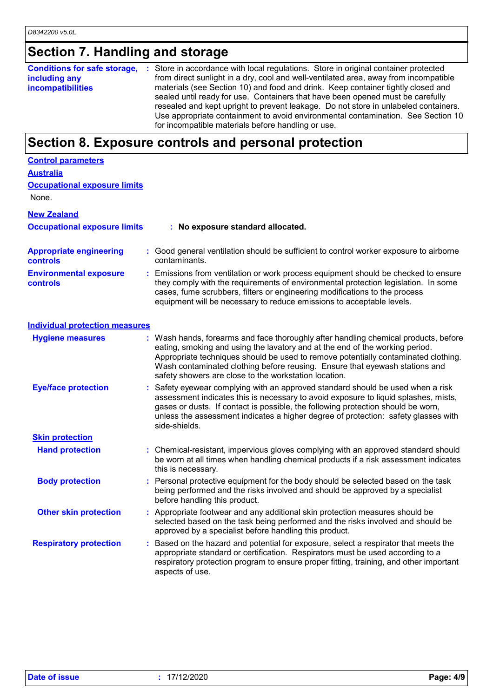# **Section 7. Handling and storage**

**Conditions for safe storage, :** Store in accordance with local regulations. Store in original container protected **including any incompatibilities** from direct sunlight in a dry, cool and well-ventilated area, away from incompatible materials (see Section 10) and food and drink. Keep container tightly closed and sealed until ready for use. Containers that have been opened must be carefully resealed and kept upright to prevent leakage. Do not store in unlabeled containers. Use appropriate containment to avoid environmental contamination. See Section 10 for incompatible materials before handling or use.

# **Section 8. Exposure controls and personal protection**

| <b>Control parameters</b>                  |                                                                                                                                                                                                                                                                                                                                                                                                   |
|--------------------------------------------|---------------------------------------------------------------------------------------------------------------------------------------------------------------------------------------------------------------------------------------------------------------------------------------------------------------------------------------------------------------------------------------------------|
| <b>Australia</b>                           |                                                                                                                                                                                                                                                                                                                                                                                                   |
| <b>Occupational exposure limits</b>        |                                                                                                                                                                                                                                                                                                                                                                                                   |
| None.                                      |                                                                                                                                                                                                                                                                                                                                                                                                   |
| <b>New Zealand</b>                         |                                                                                                                                                                                                                                                                                                                                                                                                   |
| <b>Occupational exposure limits</b>        | : No exposure standard allocated.                                                                                                                                                                                                                                                                                                                                                                 |
| <b>Appropriate engineering</b><br>controls | : Good general ventilation should be sufficient to control worker exposure to airborne<br>contaminants.                                                                                                                                                                                                                                                                                           |
| <b>Environmental exposure</b><br>controls  | : Emissions from ventilation or work process equipment should be checked to ensure<br>they comply with the requirements of environmental protection legislation. In some<br>cases, fume scrubbers, filters or engineering modifications to the process<br>equipment will be necessary to reduce emissions to acceptable levels.                                                                   |
| <b>Individual protection measures</b>      |                                                                                                                                                                                                                                                                                                                                                                                                   |
| <b>Hygiene measures</b>                    | : Wash hands, forearms and face thoroughly after handling chemical products, before<br>eating, smoking and using the lavatory and at the end of the working period.<br>Appropriate techniques should be used to remove potentially contaminated clothing.<br>Wash contaminated clothing before reusing. Ensure that eyewash stations and<br>safety showers are close to the workstation location. |
| <b>Eye/face protection</b>                 | Safety eyewear complying with an approved standard should be used when a risk<br>assessment indicates this is necessary to avoid exposure to liquid splashes, mists,<br>gases or dusts. If contact is possible, the following protection should be worn,<br>unless the assessment indicates a higher degree of protection: safety glasses with<br>side-shields.                                   |
| <b>Skin protection</b>                     |                                                                                                                                                                                                                                                                                                                                                                                                   |
| <b>Hand protection</b>                     | : Chemical-resistant, impervious gloves complying with an approved standard should<br>be worn at all times when handling chemical products if a risk assessment indicates<br>this is necessary.                                                                                                                                                                                                   |
| <b>Body protection</b>                     | : Personal protective equipment for the body should be selected based on the task<br>being performed and the risks involved and should be approved by a specialist<br>before handling this product.                                                                                                                                                                                               |
| <b>Other skin protection</b>               | : Appropriate footwear and any additional skin protection measures should be<br>selected based on the task being performed and the risks involved and should be<br>approved by a specialist before handling this product.                                                                                                                                                                         |
| <b>Respiratory protection</b>              | Based on the hazard and potential for exposure, select a respirator that meets the<br>appropriate standard or certification. Respirators must be used according to a<br>respiratory protection program to ensure proper fitting, training, and other important<br>aspects of use.                                                                                                                 |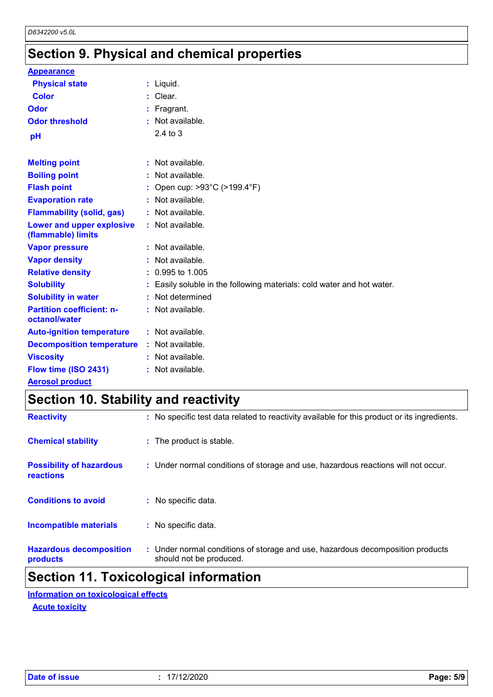# **Section 9. Physical and chemical properties**

| <b>Appearance</b>                                 |                                                                        |
|---------------------------------------------------|------------------------------------------------------------------------|
| <b>Physical state</b>                             | : Liquid.                                                              |
| <b>Color</b>                                      | : Clear.                                                               |
| Odor                                              | : Fragrant.                                                            |
| <b>Odor threshold</b>                             | $:$ Not available.                                                     |
| рH                                                | $2.4$ to $3$                                                           |
|                                                   |                                                                        |
| <b>Melting point</b>                              | : Not available.                                                       |
| <b>Boiling point</b>                              | : Not available.                                                       |
| <b>Flash point</b>                                | : Open cup: $>93^{\circ}$ C ( $>199.4^{\circ}$ F)                      |
| <b>Evaporation rate</b>                           | : Not available.                                                       |
| <b>Flammability (solid, gas)</b>                  | : Not available.                                                       |
| Lower and upper explosive<br>(flammable) limits   | : Not available.                                                       |
| <b>Vapor pressure</b>                             | : Not available.                                                       |
| <b>Vapor density</b>                              | : Not available.                                                       |
| <b>Relative density</b>                           | $: 0.995$ to 1.005                                                     |
| <b>Solubility</b>                                 | : Easily soluble in the following materials: cold water and hot water. |
| <b>Solubility in water</b>                        | : Not determined                                                       |
| <b>Partition coefficient: n-</b><br>octanol/water | : Not available.                                                       |
| <b>Auto-ignition temperature</b>                  | : Not available.                                                       |
| <b>Decomposition temperature</b>                  | : Not available.                                                       |
| <b>Viscosity</b>                                  | : Not available.                                                       |
| Flow time (ISO 2431)                              | : Not available.                                                       |
| <b>Aerosol product</b>                            |                                                                        |

# **Section 10. Stability and reactivity**

| <b>Reactivity</b>                            | : No specific test data related to reactivity available for this product or its ingredients.              |
|----------------------------------------------|-----------------------------------------------------------------------------------------------------------|
| <b>Chemical stability</b>                    | : The product is stable.                                                                                  |
| <b>Possibility of hazardous</b><br>reactions | : Under normal conditions of storage and use, hazardous reactions will not occur.                         |
| <b>Conditions to avoid</b>                   | : No specific data.                                                                                       |
| <b>Incompatible materials</b>                | : No specific data.                                                                                       |
| <b>Hazardous decomposition</b><br>products   | : Under normal conditions of storage and use, hazardous decomposition products<br>should not be produced. |

# **Section 11. Toxicological information**

**Acute toxicity Information on toxicological effects**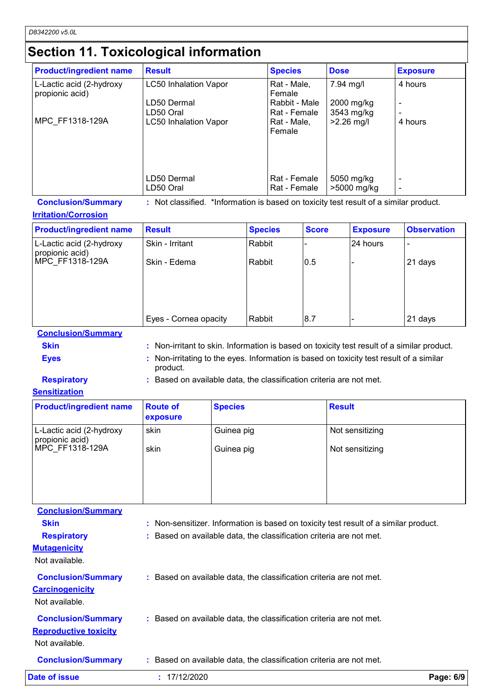# **Section 11. Toxicological information**

| <b>Product/ingredient name</b>              | <b>Result</b>                | <b>Species</b>                | <b>Dose</b>               | <b>Exposure</b> |
|---------------------------------------------|------------------------------|-------------------------------|---------------------------|-----------------|
| L-Lactic acid (2-hydroxy<br>propionic acid) | <b>LC50 Inhalation Vapor</b> | Rat - Male,<br>Female         | 7.94 mg/l                 | 4 hours         |
|                                             | LD50 Dermal<br>LD50 Oral     | Rabbit - Male<br>Rat - Female | 2000 mg/kg<br>3543 mg/kg  |                 |
| MPC FF1318-129A                             | <b>LC50 Inhalation Vapor</b> | Rat - Male,<br>Female         | $>2.26$ mg/l              | 4 hours         |
|                                             |                              |                               |                           |                 |
|                                             | LD50 Dermal<br>LD50 Oral     | Rat - Female<br>Rat - Female  | 5050 mg/kg<br>>5000 mg/kg |                 |

**Conclusion/Summary :** Not classified. \*Information is based on toxicity test result of a similar product.

## **Irritation/Corrosion**

| <b>Product/ingredient name</b>              | <b>Result</b>         | <b>Species</b> | <b>Score</b> | <b>Exposure</b> | <b>Observation</b> |
|---------------------------------------------|-----------------------|----------------|--------------|-----------------|--------------------|
| L-Lactic acid (2-hydroxy<br>propionic acid) | Skin - Irritant       | Rabbit         |              | 24 hours        |                    |
| MPC FF1318-129A                             | Skin - Edema          | Rabbit         | 0.5          |                 | 21 days            |
|                                             |                       |                |              |                 |                    |
|                                             |                       |                |              |                 |                    |
|                                             | Eyes - Cornea opacity | Rabbit         | 8.7          |                 | 21 days            |

**Conclusion/Summary**

- **Skin Example 20 Skin :** Non-irritant to skin. Information is based on toxicity test result of a similar product. **Eyes Eyes :** Non-irritating to the eyes. Information is based on toxicity test result of a similar
	- product.

**Respiratory :** Based on available data, the classification criteria are not met.

## **Sensitization**

| <b>Product/ingredient name</b>              | <b>Route of</b><br>exposure | <b>Species</b> | <b>Result</b>   |
|---------------------------------------------|-----------------------------|----------------|-----------------|
| L-Lactic acid (2-hydroxy<br>propionic acid) | skin                        | Guinea pig     | Not sensitizing |
| MPC FF1318-129A                             | skin                        | Guinea pig     | Not sensitizing |
|                                             |                             |                |                 |

**Carcinogenicity** Not available. **Conclusion/Summary :** Based on available data, the classification criteria are not met. **Mutagenicity** Not available. **Conclusion/Summary :** Based on available data, the classification criteria are not met. **Reproductive toxicity Conclusion/Summary :** Based on available data, the classification criteria are not met. Not available. **Conclusion/Summary Skin Example 20 Skin :** Non-sensitizer. Information is based on toxicity test result of a similar product. **Respiratory <b>:** Based on available data, the classification criteria are not met. **Date of issue :** 17/12/2020 **Page: 6/9**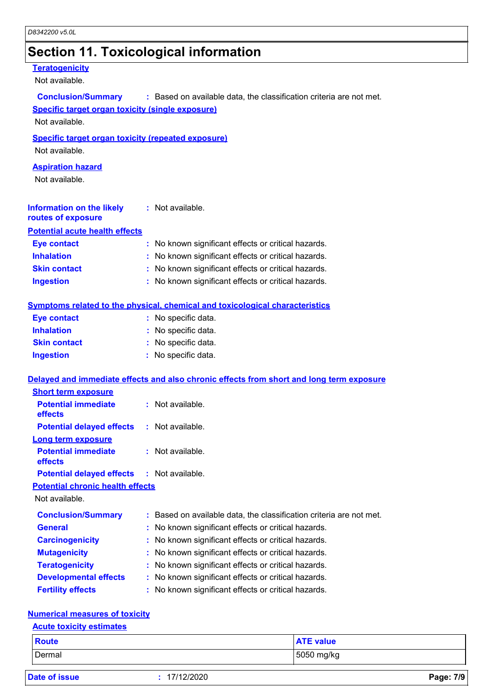# **Section 11. Toxicological information**

## **Teratogenicity**

Not available.

| <b>Conclusion/Summary</b>                                 | : Based on available data, the classification criteria are not met.                      |
|-----------------------------------------------------------|------------------------------------------------------------------------------------------|
| <b>Specific target organ toxicity (single exposure)</b>   |                                                                                          |
| Not available.                                            |                                                                                          |
| <b>Specific target organ toxicity (repeated exposure)</b> |                                                                                          |
| Not available.                                            |                                                                                          |
| <b>Aspiration hazard</b>                                  |                                                                                          |
| Not available.                                            |                                                                                          |
|                                                           |                                                                                          |
| <b>Information on the likely</b><br>routes of exposure    | : Not available.                                                                         |
| <b>Potential acute health effects</b>                     |                                                                                          |
| <b>Eye contact</b>                                        | : No known significant effects or critical hazards.                                      |
| <b>Inhalation</b>                                         | : No known significant effects or critical hazards.                                      |
| <b>Skin contact</b>                                       | No known significant effects or critical hazards.                                        |
| <b>Ingestion</b>                                          | : No known significant effects or critical hazards.                                      |
|                                                           |                                                                                          |
|                                                           | <b>Symptoms related to the physical, chemical and toxicological characteristics</b>      |
| <b>Eye contact</b>                                        | : No specific data.                                                                      |
| <b>Inhalation</b>                                         | : No specific data.                                                                      |
| <b>Skin contact</b>                                       | : No specific data.                                                                      |
| <b>Ingestion</b>                                          | : No specific data.                                                                      |
|                                                           |                                                                                          |
|                                                           | Delayed and immediate effects and also chronic effects from short and long term exposure |
| <b>Short term exposure</b>                                |                                                                                          |
| <b>Potential immediate</b><br>effects                     | : Not available.                                                                         |
| <b>Potential delayed effects</b>                          | : Not available.                                                                         |
| <b>Long term exposure</b>                                 |                                                                                          |
| <b>Potential immediate</b><br>effects                     | : Not available.                                                                         |
| <b>Potential delayed effects</b>                          | $:$ Not available.                                                                       |
| <b>Potential chronic health effects</b>                   |                                                                                          |
| Not available.                                            |                                                                                          |
| <b>Conclusion/Summary</b>                                 | Based on available data, the classification criteria are not met.                        |
| <b>General</b>                                            | No known significant effects or critical hazards.                                        |
| <b>Carcinogenicity</b>                                    | No known significant effects or critical hazards.                                        |
| <b>Mutagenicity</b>                                       | No known significant effects or critical hazards.                                        |
| <b>Teratogenicity</b>                                     | No known significant effects or critical hazards.                                        |
| <b>Developmental effects</b>                              | No known significant effects or critical hazards.                                        |
| <b>Fertility effects</b>                                  | No known significant effects or critical hazards.                                        |
|                                                           |                                                                                          |
| <b>Numerical measures of toxicity</b>                     |                                                                                          |
| <b>Acute toxicity estimates</b>                           |                                                                                          |

| <b>Route</b> | <b>ATE value</b> |
|--------------|------------------|
| Dermal       | 5050 mg/kg       |

|  | <b>Date of issue</b> |  |
|--|----------------------|--|
|  |                      |  |

**Date of issue :** 17/12/2020 **Page: 7/9**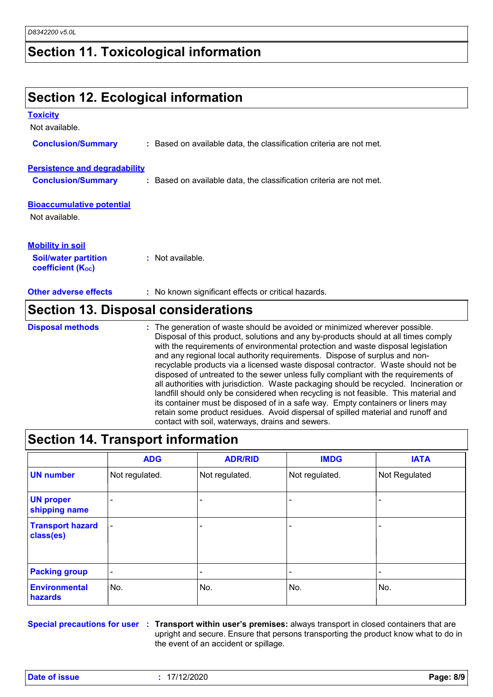# **Section 11. Toxicological information**

## **Section 12. Ecological information Bioaccumulative potential Other adverse effects** : No known significant effects or critical hazards. Not available. **Toxicity** Not available. **Conclusion/Summary :** Based on available data, the classification criteria are not met. **Persistence and degradability Conclusion/Summary :** Based on available data, the classification criteria are not met. **Soil/water partition coefficient (Koc) :** Not available. **Mobility in soil Section 13. Disposal considerations** The generation of waste should be avoided or minimized wherever possible. Disposal of this product, solutions and any by-products should at all times comply with the requirements of environmental protection and waste disposal legislation and any regional local authority requirements. Dispose of surplus and nonrecyclable products via a licensed waste disposal contractor. Waste should not be disposed of untreated to the sewer unless fully compliant with the requirements of all authorities with jurisdiction. Waste packaging should be recycled. Incineration or **Disposal methods :**

landfill should only be considered when recycling is not feasible. This material and its container must be disposed of in a safe way. Empty containers or liners may retain some product residues. Avoid dispersal of spilled material and runoff and contact with soil, waterways, drains and sewers.

|                                        | <b>ADG</b>               | <b>ADR/RID</b> | <b>IMDG</b>    | <b>IATA</b>   |
|----------------------------------------|--------------------------|----------------|----------------|---------------|
| <b>UN number</b>                       | Not regulated.           | Not regulated. | Not regulated. | Not Regulated |
| <b>UN proper</b><br>shipping name      | ۰                        |                |                |               |
| <b>Transport hazard</b><br>class(es)   | $\overline{\phantom{a}}$ |                |                |               |
| <b>Packing group</b>                   | $\overline{\phantom{a}}$ |                |                |               |
| <b>Environmental</b><br><b>hazards</b> | No.                      | No.            | No.            | No.           |

**Special precautions for user** : Transport within user's premises: always transport in closed containers that are upright and secure. Ensure that persons transporting the product know what to do in the event of an accident or spillage.

**Date of issue :** 17/12/2020 **Page: 8/9**